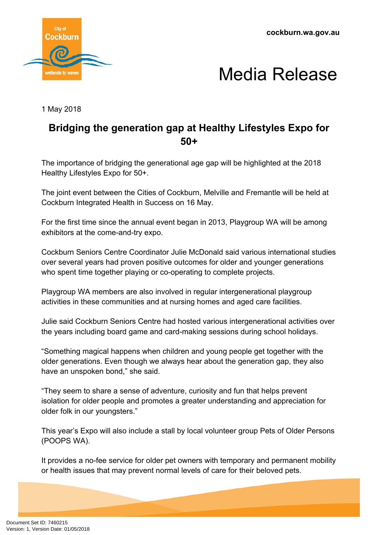**cockburn.wa.gov.au**





1 May 2018

## **Bridging the generation gap at Healthy Lifestyles Expo for 50+**

The importance of bridging the generational age gap will be highlighted at the 2018 Healthy Lifestyles Expo for 50+.

The joint event between the Cities of Cockburn, Melville and Fremantle will be held at Cockburn Integrated Health in Success on 16 May.

For the first time since the annual event began in 2013, Playgroup WA will be among exhibitors at the come-and-try expo.

Cockburn Seniors Centre Coordinator Julie McDonald said various international studies over several years had proven positive outcomes for older and younger generations who spent time together playing or co-operating to complete projects.

Playgroup WA members are also involved in regular intergenerational playgroup activities in these communities and at nursing homes and aged care facilities.

Julie said Cockburn Seniors Centre had hosted various intergenerational activities over the years including board game and card-making sessions during school holidays.

"Something magical happens when children and young people get together with the older generations. Even though we always hear about the generation gap, they also have an unspoken bond," she said.

"They seem to share a sense of adventure, curiosity and fun that helps prevent isolation for older people and promotes a greater understanding and appreciation for older folk in our youngsters."

This year's Expo will also include a stall by local volunteer group Pets of Older Persons (POOPS WA).

It provides a no-fee service for older pet owners with temporary and permanent mobility or health issues that may prevent normal levels of care for their beloved pets.

Document Set ID: 7460215<br>Version: 1, Version Date: 01/05/2018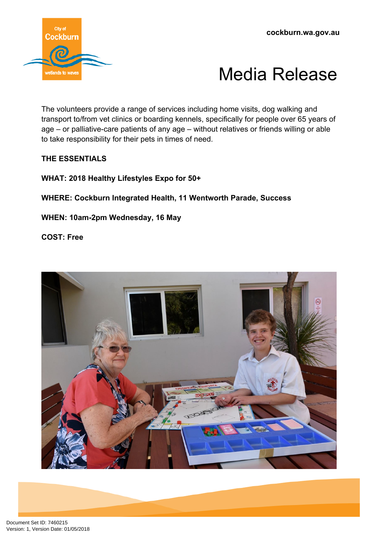



The volunteers provide a range of services including home visits, dog walking and transport to/from vet clinics or boarding kennels, specifically for people over 65 years of age – or palliative-care patients of any age – without relatives or friends willing or able to take responsibility for their pets in times of need.

## **THE ESSENTIALS**

**WHAT: 2018 Healthy Lifestyles Expo for 50+**

**WHERE: Cockburn Integrated Health, 11 Wentworth Parade, Success**

**WHEN: 10am-2pm Wednesday, 16 May**

**COST: Free**